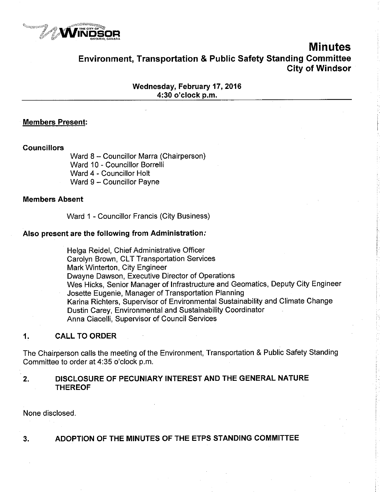

# Minutes Environment, Transportation & Public Safety Standing Gommittee City of Windsor

Wednesday, February 17, 2016 4:30 o'clock p.m.

### Members Present:

#### **Councillors**

Ward 8 - Councillor Marra (Chairperson) Ward 10 - Councillor Borrelli Ward 4 - Councillor Holt Ward 9 - Councillor Payne

#### Members Absent

Ward 1 - Councillor Francis (City Business)

#### Also present are the following from Administration.'

Helga Reidel, Chief Administrative Officer Carolyn Brown, CLT Transportation Services Mark Winterton, City Engineer Dwayne Dawson, Executive Director of Operations Wes Hicks, Senior Manager of lnfrastructure and Geomatics, Deputy City Engineer Josette Eugenie, Manager of Transportation Planning Karina Richters, Supervisor of Environmental Sustainability and Climate Change Dustin Carey, Environmental and Sustainability Coordinator Anna Ciacelli, Supervisor of Council Services

### 1, CALL TO ORDER

The Chairperson calls the meeting of the Environment, Transportation & Public Safety Standing Committee to order at 4:35 o'clock p.m.

## 2, DISCLOSURE OF PECUNIARY INTEREST AND THE GENERAL NATURE THEREOF

None disclosed.

# 3. ADOPTION OF THE MINUTES OF THE ETPS STANDING COMMITTEE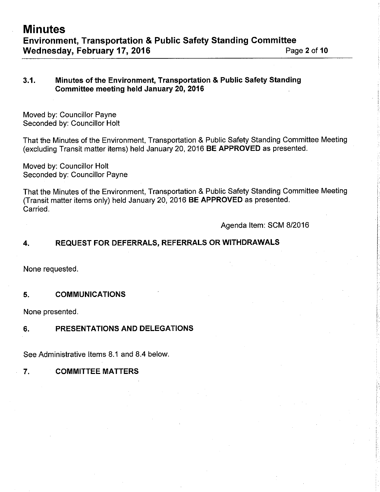## 3,1. Minutes of the Environment, Transportation & Public Safety Standing Committee meeting held January 20, 2016

Moved by: Councillor Payne Seconded by: Councillor Holt

That the Minutes of the Environment, Transportation & Public Safety Standing Committee Meeting (excluding Transit matter items) held January 20,2016 BE APPROVED as presented.

Moved by: Councillor Holt Seconded by: Councillor Payne

That the Minutes of the Environment, Transportation & Public Safety Standing Committee Meeting (Transit matter items only) held January 20,2016 BE APPROVED as presented. Carried.

Agenda ltem: SCM 8/2016

# 4, REQUEST FOR DEFERRALS, REFERRALS ORWITHDRAWALS

None requested.

### 5. COMMUNICATIONS

None presented.

## 6, PRESENTATIONS AND DELEGATIONS

See Administrative ltems 8.1 and 8.4 below.

## 7, COMMITTEE MATTERS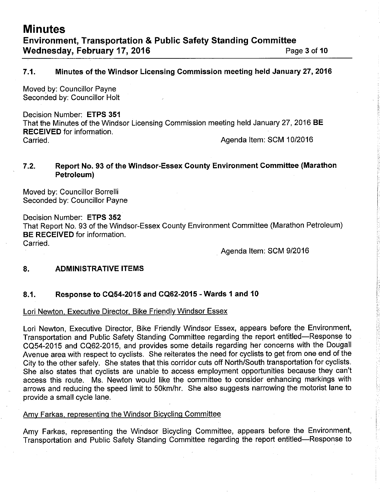# 7.1. Minutes of the Windsor Licensing Commission meeting held January 27, 2016

Moved. by: Councillor Payne Seconded by: Councillor Holt

Decision Number: ETPS 351 That the Minutes of the Windsor Licensing Commission meeting held January 27,2016 BE RECEIVED for information. Carried. Agenda ltem: SCM 1012016

# 7.2. Report No, 93 of the Windsor-Essex Gounty Environment Gommittee (Marathon Petroleum)

Moved by: Councillor Borrelli Seconded by: Councillor Payne

Decision Number: ETPS 352 That Report No. 93 of the Windsor-Essex County Environment Committee (Marathon Petroleum) BE RECEIVED for information. Carried.

Agenda ltem: SCM 9/2016

## 8. ADMINISTRATIVE ITEMS

# 8.1. Response to CQ54-2015 and GQ62-2015 - Wards 1 and <sup>10</sup>

### Lori Newton, Executive Director, Bike Friendly Windsor Essex

Lori Newton, Executive Director, Bike Friendly Windsor Essex, appears before the Environment, Transportation and Public Safety Standing Committee regarding the report entitled-Response to CQ54-2015 and CQ62-2015, and provides some details regarding her concerns with the Dougall Avenue area with respect to cyclists. She reiterates the need for cyclists to get from one end of the City to the other safely. She states that this corridor cuts off North/South transportation for cyclists. She also states that cyclists are unable to access employment opportunities because they can't access this route. Ms. Newton would like the committee to consider enhancing markings with arrows and reducing the speed limit to SOkm/hr. She also suggests narrowing the motorist lane to provide a small cycle lane.

## Amy Farkas, representing the Windsor Bicycling Committee

Amy Farkas, representing the Windsor Bicycling Committee, appears before the Environment, Transportation and Public Safety Standing Committee regarding the report entitled-Response to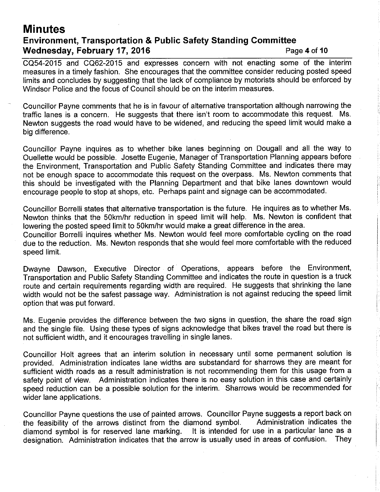# **Minutes** Environment, Transportation & Public Safety Standing Committee Wednesday, February 17, 2016 **Page 4 of 10** Page 4 of 10

CQ54-2015 and CQ62-2015 and expresses concern with not enacting some of the interim measures in a timely fashion. She encourages that the committee consider reducing posted speed limits and concludes by suggesting that the lack of compliance by motorists should be enforced by Windsor Police and the focus of Council should be on the interim measures.

Councillor Payne comments that he is in favour of alternative transportation although narrowing the traffic lanes is a concern. He suggests that there isn't room to accommodate this request. Ms. Newton suggests the road would have to be widened, and reducing the speed limit would make a big difference.

Councillor Payne inquires as to whether bike lanes beginning on Dougall and all the way to Ouellette would be possible. Josette Eugenie, Manager of Transportation Planning appears before the Environment, Transportation and Public Safety Standing Committee and indicates there may not be enough space to accommodate this request on the overpass. Ms. Newton comments that this should be investigated with the Planning Department and that bike lanes downtown would encourage people to stop at shops, etc. Perhaps paint and signage can be accommodated.

Councillor Borrelli states that alternative transportation is the future. He inquires as to whether Ms. Newton thinks that the 50km/hr reduction in speed limit will help. Ms. Newton is confident that lowering the posted speed limit to 5Okm/hr would make a great difference in the area.

Councillor Borrelli inquires whether Ms. Newton would feel more comfortable cycling on the road due to the reduction. Ms. Newton responds that she would feel more comfortable with the reduced speed limit.

Dwayne Dawson, Executive Director of Operations, appears before the Environment, Transportation and Public Safety Standing Committee and indicates the route in question is a truck route and certain requirements regarding width are required. He suggests that shrinking the lane width would not be the safest passage way. Administration is not against reducing the speed limit option that was put forward.

Ms. Eugenie provides the difference between the two signs in question, the share the road sign and the single file. Using these types of signs acknowledge that bikes travel the road but there is not sufficient width, and it encourages travelling in single lanes.

Councillor Holt agrees that an interim solution in necessary until some permanent solution is provided. Administration indicates lane widths are substandard for sharrows they are meant for sufficient width roads as a result administration is not recommending them for this usage from a safeiy point of view. Administration indicates there is no easy solution in this case and certainly speed reduction can be a possible solution for the interim. Sharrows would be recommended for wider lane applications.

Councillor Payne questions the use of painted arrows. Councillor Payne suggests a report back on<br>the feasibility of the arrows distinct from the diamond symbol administration indicates the the feasibility of the arrows distinct from the diamond symbol.<br>diamond symbol is for reserved lane marking. It is intended fo It is intended for use in a particular lane as a<br>weis usually used in a reas of confusion. They designation. Administration indicates that the arrow is usually used in areas of confusion.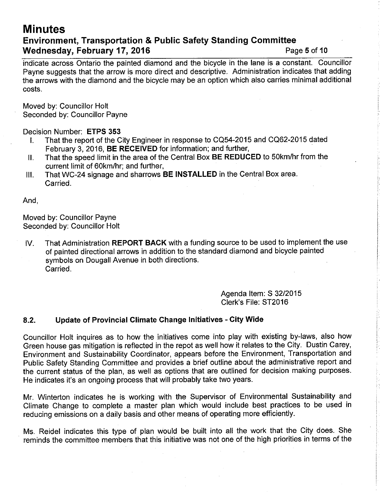# **Minutes** Environment, Transportation & Public Safety Standing Gommittee Wednesday, February 17, 2016 **Page 5 of 10** Page 5 of 10

indicate across Ontario the painted diamond and the bicycle in the lane is a constant. Councillor Payne suggests that the arrow is more direct and descriptive. Administration indicates that adding the arrows with the diamond and the bicycle may be an option which also carries minimal additional costs.

Moved by: Councillor Holt Seconded by: Councillor Payne

## Decision Number: ETPS 353

- I. That the report of the City Engineer in response to CQ54-2015 and CQ62-2015 dated February 3,2016, BE RECEIVED for information; and further,
- ll. That the speed limit in the area of the Central Box BE REDUCED to S0km/hr from the current limit of 60km/hr; and further,
- lll. That WC-24 signage and sharrows BE INSTALLED in the Central Box area. Carried.

And,

Moved by: Councillor Payne Seconded by: Councillor Holt

lV. That Administration REPORT BACK with a funding source to be used to implement the use of painied directional arrows in addition to the standard diamond and bicycle painted symbols on Dougall Avenue in both directions. Carried.

> Agenda ltem: S 3212015 Clerk's File: ST20l6

## 8.2. Update of Provincial Climate Change lnitiatives - City Wide

Councillor Holt inquires as to how the initiatives come into play with existing by-laws, also how Green house gas mitigation is reflected in the repot as well how it relates to the City. Dustin Carey, Environment and Sustainability Coordinator, appears before the Environment, Transportation and Public Safety Standing Committee and provides a brief outline about the administrative report and the current status of the plan, as well as options that are outlined for decision making purposes. He indicates it's an ongoing process that will probably take two years.

Mr. Winterton indicates he is working with the Supervisor of Environmental Sustainability and Climate Change to complete a master plan which would include best practices to be used in reducing emissions on a daily basis and other means of operating more efficiently.

Ms. Reidel indicates this type of plan would be built into all the work that the City does. She reminds the committee members that this initiative was not one of the high priorities in terms of the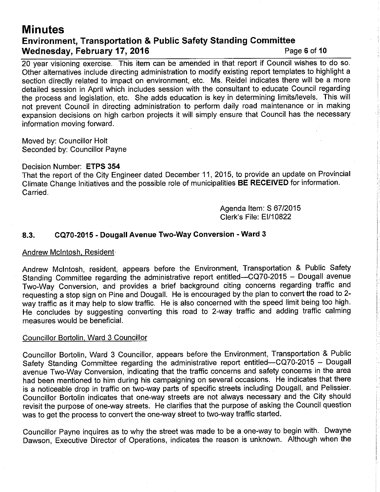# **Minutes** Environment, Transportation & Public Safety Standing Committee Wednesday, February 17, 2016 **Page 6 of 10** Page 6 of 10

20 year visioning exercise. This item can be amended in that report if Council wishes to do so. Other alternatives include directing administration to modify existing report templates to highlight a section directly related to impact on environment, etc. Ms. Reidel indicates there will be a more detailed session in April which includes session with the consultant to educate Council regarding the process and legislation, etc. She adds education is key in determining limits/levels. This will not prevent Council in directing administration to perform daily road maintenance or in making expansion decisions on high carbon projects it will simply ensure that Council has the necessary information moving forward.

Moved by: Councillor Holt Seconded by: Councillor Payne

Decision Number: ETPS 354

That the report of the City Engineer dated December 11,2015, to provide an update on Provincial Climate Change lnitiatives and the possible role of municipalities BE RECEIVED for information. Carried.

> Agenda ltem: S 6712015 Clerk's File: F]'110822

# 8.3. CQ70-2015 - Dougall Avenue Two-Way Conversion - Ward <sup>3</sup>

#### Andrew Mclntosh, Resident'

Andrew Mclntosh, resident, appears before the Environment, Transportation & Public Safety Standing Committee regarding the administrative report entitled-CQ70-2015 - Dougall avenue Two-Way Conversion, and provides a brief background citing concerns regarding traffic and requesting a stop sign on Pine and Dougall. He is encouraged by the plan to convert the road to 2 way traffic as it may help to slow traffic. He is also concerned with the speed limit being too high. He concludes by suggesting converting this road to 2-way traffic and adding traffic calming measures would be beneficial.

### Councillor Bortolin, Ward 3 Councillor

Councillor Bortolin, Ward 3 Councillor, appears before the Environment, Transportation & Public Safety Standing Committee regarding the administrative report entitled-CQ70-2015 - Dougall avenue Two-Way Conversion, indicating that the traffic concerns and safety concerns in the area had been mentioned to him during his campaigning on several occasions. He indicates that there is a noticeable drop in traffic on two-way parts of specific streets including Dougall, and Pelissier. Councillor Bortolin indicates that one-way streets are not always necessary and the City should revisit the purpose of one-way streets. He clarifies that the purpose of asking the Council question was to get the process to convert the one-way street to two-way traffic started.

Councillor Payne inquires as to why the street was made to be a one-way to begin with. Dwayne Dawson, Executive Director of Operations, indicates the reason is unknown. Although when the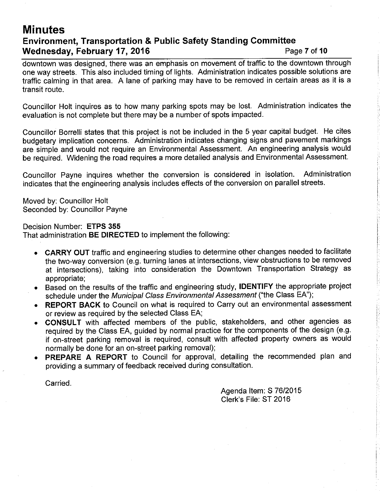# **Minutes** Environment, Transportation & Public Safety Standing Committee Wednesday, February 17, 2016 **Page 7 of 10** Page 7 of 10

downtown was designed, there was an emphasis on movement of traffic to the downtown through one way streets. This also included timing of lights. Administration indicates possible solutions are traffic calming in that area. A lane of parking may have to be removed in certain areas as it is <sup>a</sup> transit route.

Councillor Holt inquires as to how many parking spots may be lost. Administration indicates the evaluation is not complete but there may be a number of spots impacted.

Councillor Borretli states that this project is not be included in the 5 year capital budget. He cites budgetary implication concerns. Administration indicates changing signs and pavement markings are simple and would not require an Environmental Assessment. An engineering analysis would be required. Widening the road requires a more detailed analysis and Environmental Assessment.

Councillor Payne inquires whether the conversion is considered in isolation. Administration indicates that the engineering analysis includes effects of the conversion on parallel streets.

Moved by: Councillor Holt Seconded by: Councillor Payne

Decision Number: ETPS 355 That administration BE DIRECTED to implement the following:

- CARRY OUT traffic and engineering studies to determine other changes needed to facilitate the two-way conversion (e.g. turning lanes at intersections, view obstructions to be removed at intersections), taking into consideration the Downtown Transportation Strategy as appropriate;
- . Based on the results of the traffic and engineering study, IDENTIFY the appropriate project schedule under the Municipal Class Environmental Assessment ("the Class EA");
- REPORT BACK to Council on what is required to Carry out an environmental assessment or review as required by the selected Class EA;
- CONSULT with affected members of the public, stakeholders, and other agencies as required by the Class EA, guided by normal practice for the components of the design (e.9. if on-street parking removal is required, consult with affected property owners as would normally be done for an on-street parking removal);
- PREPARE A REPORT to Council for approval, detailing the recommended plan and providing a summary of feedback received during consultation.

Carried.

Agenda ltem: S 7612015 Clerk's File: ST 2016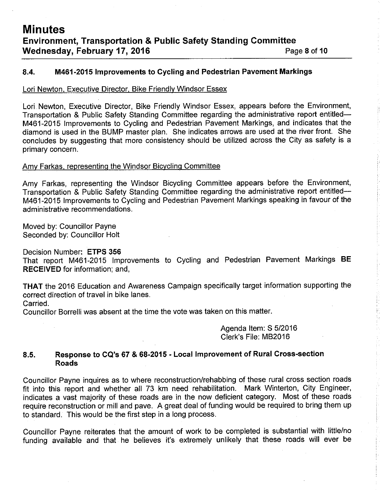### 8.4. M461-2015 lmprovements to Cycling and Pedestrian Pavement Markings

#### Lori Newton, Executive Director. Bike Friendlv Windsor Essex

Lori Newton, Exècutive Director, Bike Friendly Windsor Essex, appears before the Environment, Transportation & Public Safety Standing Committee regarding the administrative report entitled-M461-2015 lmprovements to Cycling and Pedestrian Pavement Markings, and indicates that the diamond is used in the BUMP master plan. She indicates arrows are used at the river front. She concludes by suggesting that more consistency should be utilized across the City as safety is a primary concern.

#### Amy Farkas, representing the Windsor Bicycling Committee

Amy Farkas, representing the Windsor Bicycling Committee appears before the Environment, Transportation & Public Safety Standing Committee regarding the administrative report entitled-M461-2015 lmprovements to Cycling and Pedestrian Pavement Markings speaking in favour of the administrative recommendations.

Moved by: Councillor Payne Seconded by: Councillor Holt

Decision Number: ETPS 356

That report M461-2015 Improvements to Cycling and Pedestrian Pavement Markings BE RECEIVED for information; and,

THAT the 2016 Education and Awareness Campaign specifically target information supporting the correct direction of travel in bike lanes.

Carried.

Councillor Borrelli was absent at the time the vote was taken on this matter.

Agenda ltem: S 5/2016 Clerk's File: M82016

### 8.5. Response to GQ's 67 & 68-2015 - Local lmprovement of Rural Cross-section Roads

Councillor Payne inquires as to where reconstruction/rehabbing of these rural cross section roads fit into this report and whether all 73 km need rehabilitation. Mark Winterton, City Engineer, indicates a vast majority of these roads are in the now deficient category. Most of these roads require reconstruction or mill and pave. A great deal of funding would be required to bring them up to standard. This would be the first step in a long process.

Councillor Payne reiterates that the amount of work to be completed is substantial with little/no funding available and that he believes it's extremely unlikely that these roads will ever be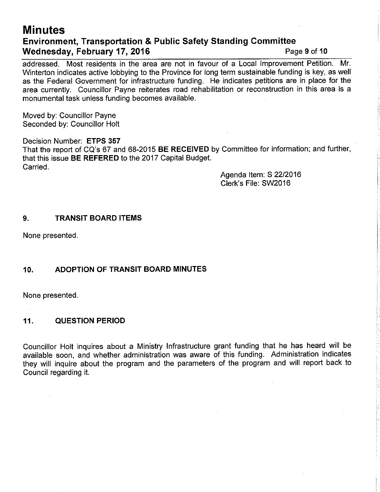# **Minutes** Environment, Transportation & Public Safety Standing Committee Wednesday, February 17, 2016 **Page 9 of 10** Page 9 of 10

addressed. Most residents in the area are not in favour of a Local lmprovement Petition. Mr. Winterton indicates active lobbying to the Province for long term sustainable funding is key, as well as the Federal Government for infrastructure funding. He indicates petitions are in place for the area currently. Councillor Payne reiterates road rehabilitation or reconstruction in this area is a monumental task unless funding becomes available.

Moved by: Councillor Payne Seconded by: Councillor Holt

Decision Number: ETPS 357 That the report of CQ's 67 and 68-2015 BE RECEIVED by Committee for information; and further, that this issue BE REFERED to the 2017 Capital Budget. Carried.

> Agenda ltem: S 2212016 Clerk's File: SW20l6

## 9. TRANSIT BOARD ITEMS

None presented.

### 10. ADOPTION OF TRANSIT BOARD MINUTES

None presented

### 11, QUESTION PERIOD

Councillor Holt inquires about a Ministry lnfrastructure grant funding that he has heard will be available soon, and whether administration was aware of this funding. Administration indicates they will inquire about the program and the parameters of the program and will report back to Council regarding it.